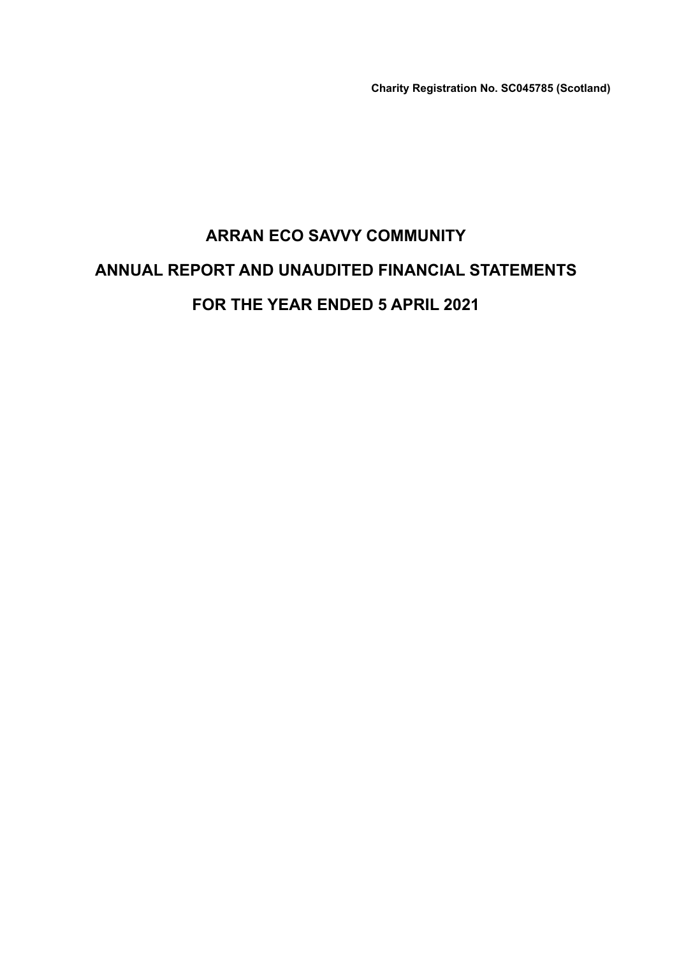**Charity Registration No. SC045785 (Scotland)**

# **ARRAN ECO SAVVY COMMUNITY ANNUAL REPORT AND UNAUDITED FINANCIAL STATEMENTS FOR THE YEAR ENDED 5 APRIL 2021**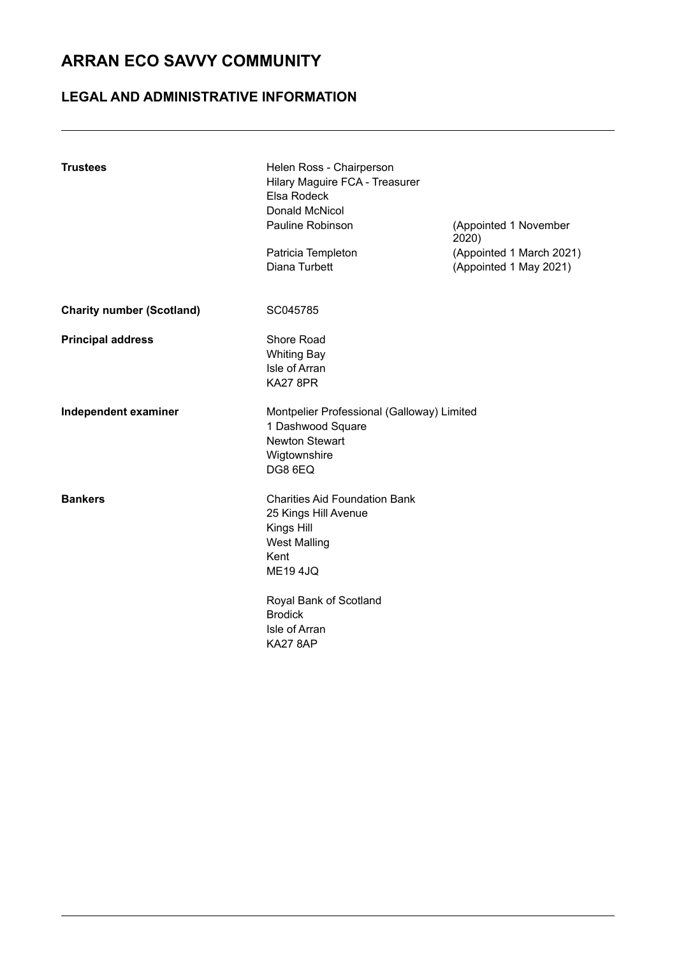## **LEGAL AND ADMINISTRATIVE INFORMATION**

| <b>Trustees</b>                  | Helen Ross - Chairperson<br>Hilary Maguire FCA - Treasurer<br>Elsa Rodeck<br><b>Donald McNicol</b><br>Pauline Robinson<br>Patricia Templeton<br>Diana Turbett                                               | (Appointed 1 November<br>2020)<br>(Appointed 1 March 2021)<br>(Appointed 1 May 2021) |
|----------------------------------|-------------------------------------------------------------------------------------------------------------------------------------------------------------------------------------------------------------|--------------------------------------------------------------------------------------|
| <b>Charity number (Scotland)</b> | SC045785                                                                                                                                                                                                    |                                                                                      |
| <b>Principal address</b>         | Shore Road<br><b>Whiting Bay</b><br>Isle of Arran<br><b>KA27 8PR</b>                                                                                                                                        |                                                                                      |
| Independent examiner             | Montpelier Professional (Galloway) Limited<br>1 Dashwood Square<br>Newton Stewart<br>Wigtownshire<br>DG8 6EQ                                                                                                |                                                                                      |
| <b>Bankers</b>                   | <b>Charities Aid Foundation Bank</b><br>25 Kings Hill Avenue<br>Kings Hill<br><b>West Malling</b><br>Kent<br><b>ME194JQ</b><br>Royal Bank of Scotland<br><b>Brodick</b><br>Isle of Arran<br><b>KA27 8AP</b> |                                                                                      |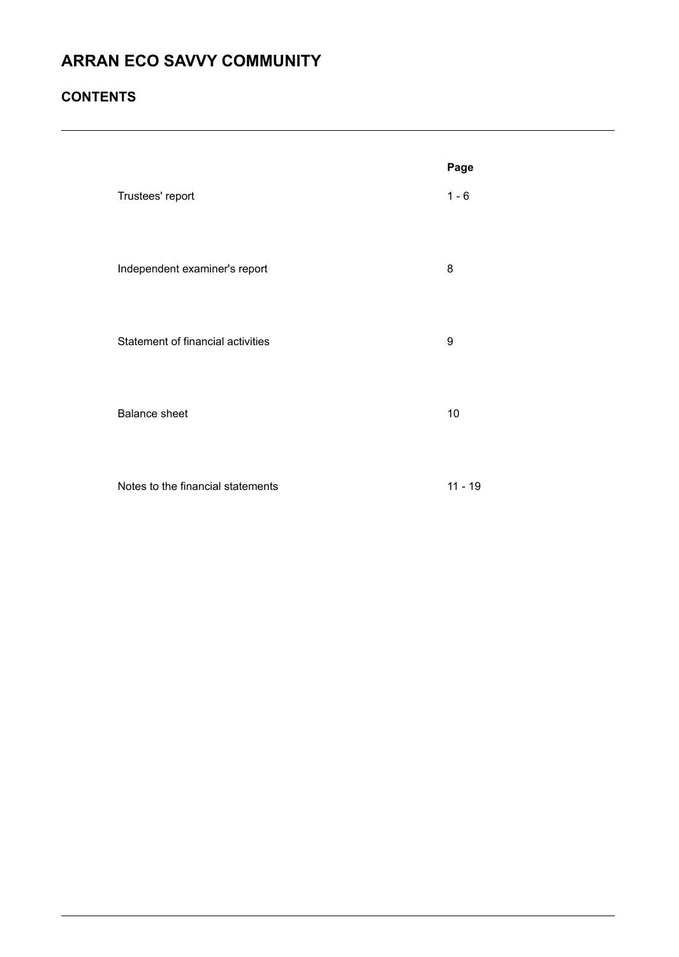## **CONTENTS**

|                                   | Page      |
|-----------------------------------|-----------|
| Trustees' report                  | $1 - 6$   |
| Independent examiner's report     | 8         |
| Statement of financial activities | 9         |
| <b>Balance sheet</b>              | 10        |
| Notes to the financial statements | $11 - 19$ |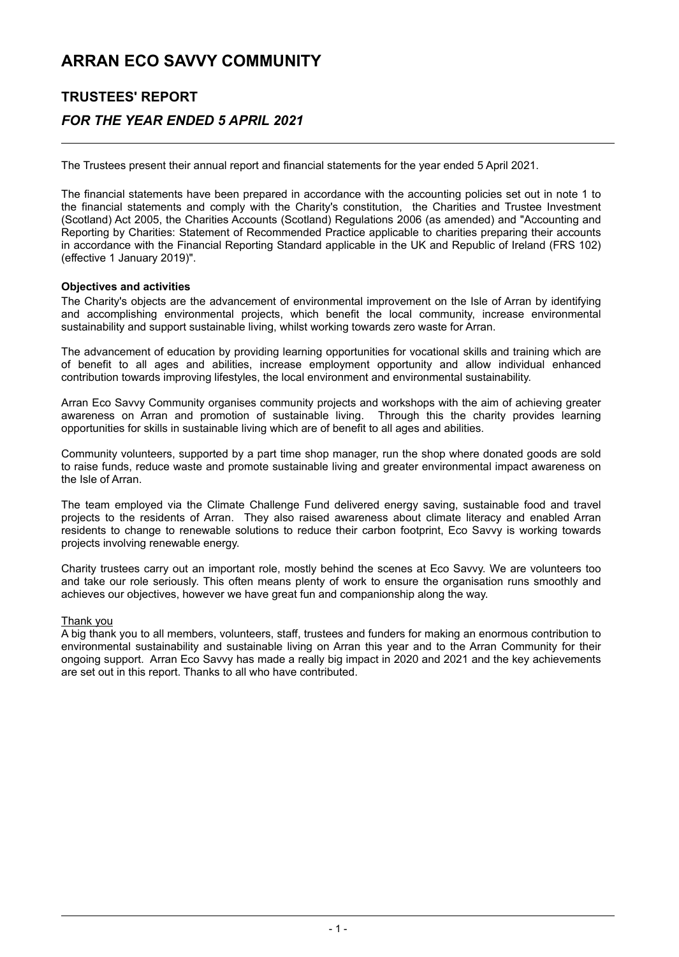## **TRUSTEES' REPORT** *FOR THE YEAR ENDED 5 APRIL 2021*

The Trustees present their annual report and financial statements for the year ended 5 April 2021.

The financial statements have been prepared in accordance with the accounting policies set out in note 1 to the financial statements and comply with the Charity's constitution, the Charities and Trustee Investment (Scotland) Act 2005, the Charities Accounts (Scotland) Regulations 2006 (as amended) and "Accounting and Reporting by Charities: Statement of Recommended Practice applicable to charities preparing their accounts in accordance with the Financial Reporting Standard applicable in the UK and Republic of Ireland (FRS 102) (effective 1 January 2019)".

#### **Objectives and activities**

The Charity's objects are the advancement of environmental improvement on the Isle of Arran by identifying and accomplishing environmental projects, which benefit the local community, increase environmental sustainability and support sustainable living, whilst working towards zero waste for Arran.

The advancement of education by providing learning opportunities for vocational skills and training which are of benefit to all ages and abilities, increase employment opportunity and allow individual enhanced contribution towards improving lifestyles, the local environment and environmental sustainability.

Arran Eco Savvy Community organises community projects and workshops with the aim of achieving greater<br>awareness on Arran and promotion of sustainable living. Through this the charity provides learning awareness on Arran and promotion of sustainable living. opportunities for skills in sustainable living which are of benefit to all ages and abilities.

Community volunteers, supported by a part time shop manager, run the shop where donated goods are sold to raise funds, reduce waste and promote sustainable living and greater environmental impact awareness on the Isle of Arran.

The team employed via the Climate Challenge Fund delivered energy saving, sustainable food and travel projects to the residents of Arran. They also raised awareness about climate literacy and enabled Arran residents to change to renewable solutions to reduce their carbon footprint, Eco Savvy is working towards projects involving renewable energy.

Charity trustees carry out an important role, mostly behind the scenes at Eco Savvy. We are volunteers too and take our role seriously. This often means plenty of work to ensure the organisation runs smoothly and achieves our objectives, however we have great fun and companionship along the way.

#### Thank you

A big thank you to all members, volunteers, staff, trustees and funders for making an enormous contribution to environmental sustainability and sustainable living on Arran this year and to the Arran Community for their ongoing support. Arran Eco Savvy has made a really big impact in 2020 and 2021 and the key achievements are set out in this report. Thanks to all who have contributed.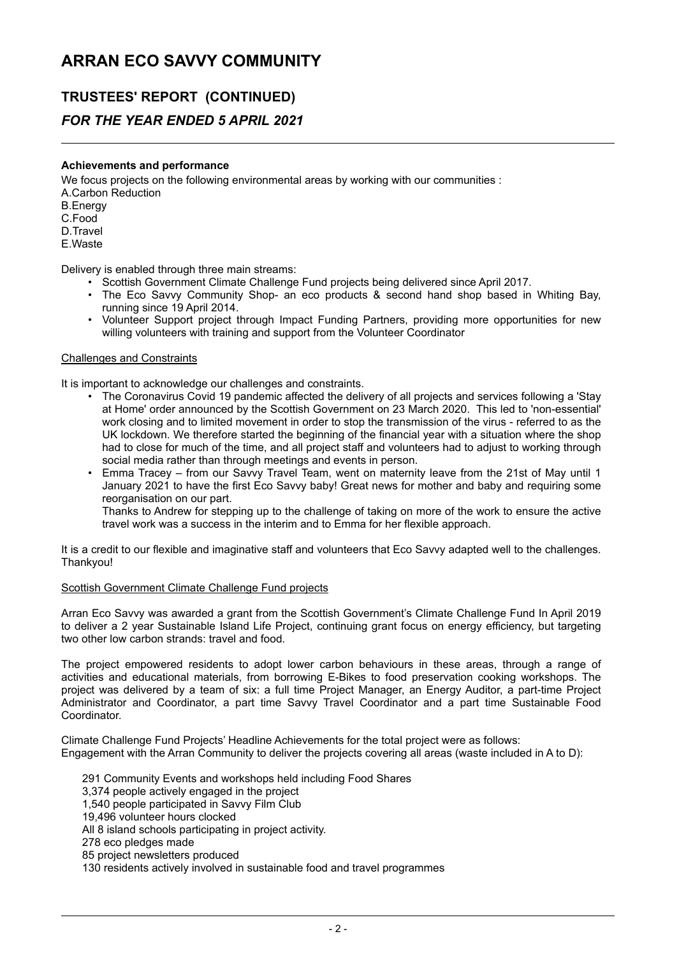### **TRUSTEES' REPORT (CONTINUED)**

### *FOR THE YEAR ENDED 5 APRIL 2021*

#### **Achievements and performance**

We focus projects on the following environmental areas by working with our communities : A.Carbon Reduction B.Energy C.Food D.Travel E.Waste

Delivery is enabled through three main streams:

- Scottish Government Climate Challenge Fund projects being delivered since April 2017.
- The Eco Savvy Community Shop- an eco products & second hand shop based in Whiting Bay, running since 19 April 2014.
- Volunteer Support project through Impact Funding Partners, providing more opportunities for new willing volunteers with training and support from the Volunteer Coordinator

#### Challenges and Constraints

It is important to acknowledge our challenges and constraints.

- The Coronavirus Covid 19 pandemic affected the delivery of all projects and services following a 'Stay at Home' order announced by the Scottish Government on 23 March 2020. This led to 'non-essential' work closing and to limited movement in order to stop the transmission of the virus - referred to as the UK lockdown. We therefore started the beginning of the financial year with a situation where the shop had to close for much of the time, and all project staff and volunteers had to adjust to working through social media rather than through meetings and events in person.
- Emma Tracey from our Savvy Travel Team, went on maternity leave from the 21st of May until 1 January 2021 to have the first Eco Savvy baby! Great news for mother and baby and requiring some reorganisation on our part.

Thanks to Andrew for stepping up to the challenge of taking on more of the work to ensure the active travel work was a success in the interim and to Emma for her flexible approach.

It is a credit to our flexible and imaginative staff and volunteers that Eco Savvy adapted well to the challenges. Thankyou!

#### Scottish Government Climate Challenge Fund projects

Arran Eco Savvy was awarded a grant from the Scottish Government's Climate Challenge Fund In April 2019 to deliver a 2 year Sustainable Island Life Project, continuing grant focus on energy efficiency, but targeting two other low carbon strands: travel and food.

The project empowered residents to adopt lower carbon behaviours in these areas, through a range of activities and educational materials, from borrowing E-Bikes to food preservation cooking workshops. The project was delivered by a team of six: a full time Project Manager, an Energy Auditor, a part-time Project Administrator and Coordinator, a part time Savvy Travel Coordinator and a part time Sustainable Food Coordinator.

Climate Challenge Fund Projects' Headline Achievements for the total project were as follows: Engagement with the Arran Community to deliver the projects covering all areas (waste included in A to D):

- 291 Community Events and workshops held including Food Shares
- 3,374 people actively engaged in the project
- 1,540 people participated in Savvy Film Club
- 19,496 volunteer hours clocked
- All 8 island schools participating in project activity.
- 278 eco pledges made
- 85 project newsletters produced
- 130 residents actively involved in sustainable food and travel programmes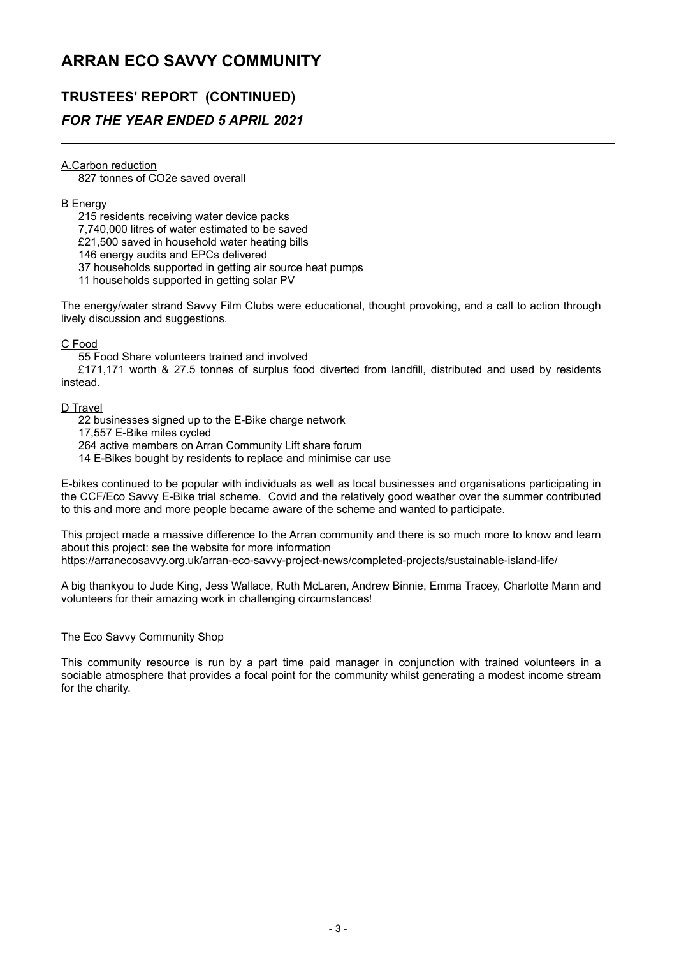## **TRUSTEES' REPORT (CONTINUED)**

### *FOR THE YEAR ENDED 5 APRIL 2021*

A.Carbon reduction

827 tonnes of CO2e saved overall

#### B Energy

215 residents receiving water device packs 7,740,000 litres of water estimated to be saved

£21,500 saved in household water heating bills

146 energy audits and EPCs delivered

37 households supported in getting air source heat pumps

11 households supported in getting solar PV

The energy/water strand Savvy Film Clubs were educational, thought provoking, and a call to action through lively discussion and suggestions.

#### C Food

55 Food Share volunteers trained and involved

£171,171 worth & 27.5 tonnes of surplus food diverted from landfill, distributed and used by residents instead.

#### D Travel

22 businesses signed up to the E-Bike charge network

17,557 E-Bike miles cycled

264 active members on Arran Community Lift share forum

14 E-Bikes bought by residents to replace and minimise car use

E-bikes continued to be popular with individuals as well as local businesses and organisations participating in the CCF/Eco Savvy E-Bike trial scheme. Covid and the relatively good weather over the summer contributed to this and more and more people became aware of the scheme and wanted to participate.

This project made a massive difference to the Arran community and there is so much more to know and learn about this project: see the website for more information https://arranecosavvy.org.uk/arran-eco-savvy-project-news/completed-projects/sustainable-island-life/

A big thankyou to Jude King, Jess Wallace, Ruth McLaren, Andrew Binnie, Emma Tracey, Charlotte Mann and volunteers for their amazing work in challenging circumstances!

#### The Eco Savvy Community Shop

This community resource is run by a part time paid manager in conjunction with trained volunteers in a sociable atmosphere that provides a focal point for the community whilst generating a modest income stream for the charity.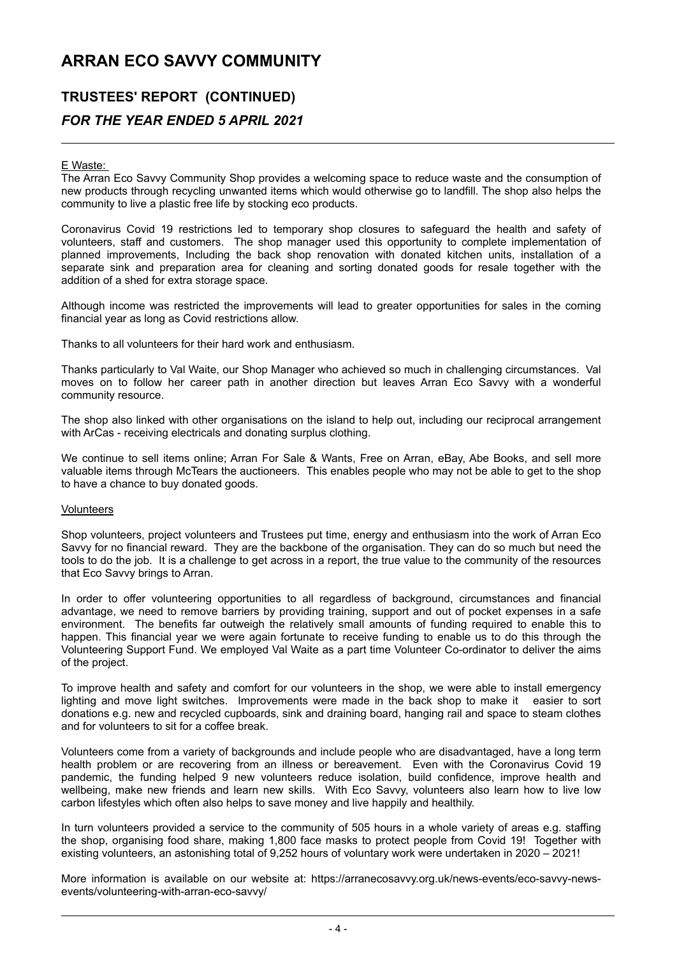## **TRUSTEES' REPORT (CONTINUED)** *FOR THE YEAR ENDED 5 APRIL 2021*

#### E Waste:

The Arran Eco Savvy Community Shop provides a welcoming space to reduce waste and the consumption of new products through recycling unwanted items which would otherwise go to landfill. The shop also helps the community to live a plastic free life by stocking eco products.

Coronavirus Covid 19 restrictions led to temporary shop closures to safeguard the health and safety of volunteers, staff and customers. The shop manager used this opportunity to complete implementation of planned improvements, Including the back shop renovation with donated kitchen units, installation of a separate sink and preparation area for cleaning and sorting donated goods for resale together with the addition of a shed for extra storage space.

Although income was restricted the improvements will lead to greater opportunities for sales in the coming financial year as long as Covid restrictions allow.

Thanks to all volunteers for their hard work and enthusiasm.

Thanks particularly to Val Waite, our Shop Manager who achieved so much in challenging circumstances. Val moves on to follow her career path in another direction but leaves Arran Eco Savvy with a wonderful community resource.

The shop also linked with other organisations on the island to help out, including our reciprocal arrangement with ArCas - receiving electricals and donating surplus clothing.

We continue to sell items online; Arran For Sale & Wants, Free on Arran, eBay, Abe Books, and sell more valuable items through McTears the auctioneers. This enables people who may not be able to get to the shop to have a chance to buy donated goods.

#### **Volunteers**

Shop volunteers, project volunteers and Trustees put time, energy and enthusiasm into the work of Arran Eco Savvy for no financial reward. They are the backbone of the organisation. They can do so much but need the tools to do the job. It is a challenge to get across in a report, the true value to the community of the resources that Eco Savvy brings to Arran.

In order to offer volunteering opportunities to all regardless of background, circumstances and financial advantage, we need to remove barriers by providing training, support and out of pocket expenses in a safe environment. The benefits far outweigh the relatively small amounts of funding required to enable this to happen. This financial year we were again fortunate to receive funding to enable us to do this through the Volunteering Support Fund. We employed Val Waite as a part time Volunteer Co-ordinator to deliver the aims of the project.

To improve health and safety and comfort for our volunteers in the shop, we were able to install emergency lighting and move light switches. Improvements were made in the back shop to make it easier to sort donations e.g. new and recycled cupboards, sink and draining board, hanging rail and space to steam clothes and for volunteers to sit for a coffee break.

Volunteers come from a variety of backgrounds and include people who are disadvantaged, have a long term health problem or are recovering from an illness or bereavement. Even with the Coronavirus Covid 19 pandemic, the funding helped 9 new volunteers reduce isolation, build confidence, improve health and wellbeing, make new friends and learn new skills. With Eco Savvy, volunteers also learn how to live low carbon lifestyles which often also helps to save money and live happily and healthily.

In turn volunteers provided a service to the community of 505 hours in a whole variety of areas e.g. staffing the shop, organising food share, making 1,800 face masks to protect people from Covid 19! Together with existing volunteers, an astonishing total of 9,252 hours of voluntary work were undertaken in 2020 – 2021!

More information is available on our website at: https://arranecosavvy.org.uk/news-events/eco-savvy-newsevents/volunteering-with-arran-eco-savvy/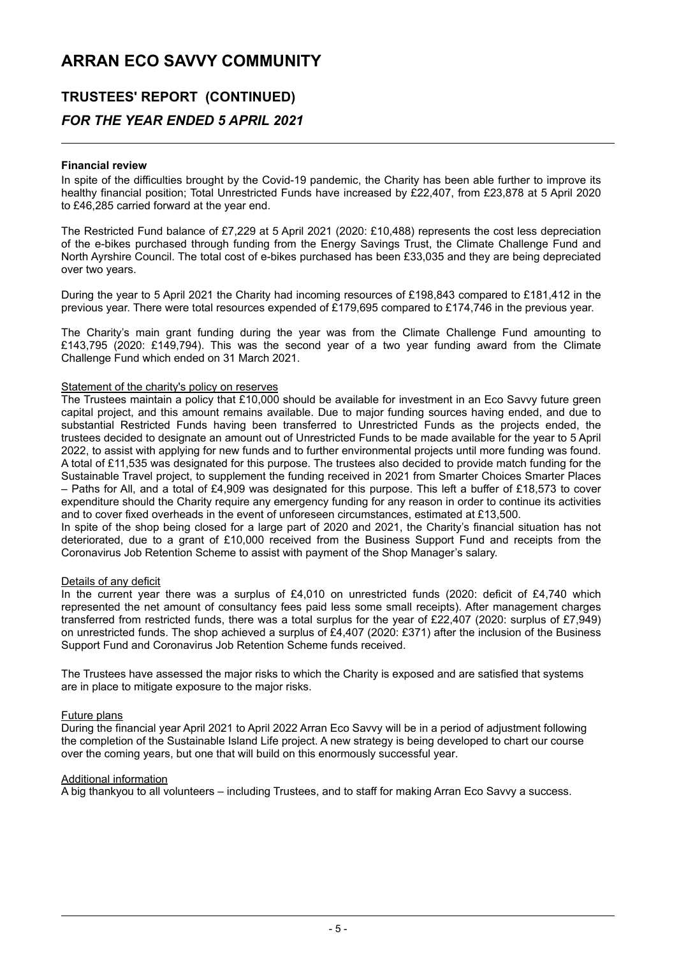## **TRUSTEES' REPORT (CONTINUED)**

### *FOR THE YEAR ENDED 5 APRIL 2021*

#### **Financial review**

In spite of the difficulties brought by the Covid-19 pandemic, the Charity has been able further to improve its healthy financial position; Total Unrestricted Funds have increased by £22,407, from £23,878 at 5 April 2020 to £46,285 carried forward at the year end.

The Restricted Fund balance of £7,229 at 5 April 2021 (2020: £10,488) represents the cost less depreciation of the e-bikes purchased through funding from the Energy Savings Trust, the Climate Challenge Fund and North Ayrshire Council. The total cost of e-bikes purchased has been £33,035 and they are being depreciated over two years.

During the year to 5 April 2021 the Charity had incoming resources of £198,843 compared to £181,412 in the previous year. There were total resources expended of £179,695 compared to £174,746 in the previous year.

The Charity's main grant funding during the year was from the Climate Challenge Fund amounting to £143,795 (2020: £149,794). This was the second year of a two year funding award from the Climate Challenge Fund which ended on 31 March 2021.

#### Statement of the charity's policy on reserves

The Trustees maintain a policy that £10,000 should be available for investment in an Eco Savvy future green capital project, and this amount remains available. Due to major funding sources having ended, and due to substantial Restricted Funds having been transferred to Unrestricted Funds as the projects ended, the trustees decided to designate an amount out of Unrestricted Funds to be made available for the year to 5 April 2022, to assist with applying for new funds and to further environmental projects until more funding was found. A total of £11,535 was designated for this purpose. The trustees also decided to provide match funding for the Sustainable Travel project, to supplement the funding received in 2021 from Smarter Choices Smarter Places – Paths for All, and a total of £4,909 was designated for this purpose. This left a buffer of £18,573 to cover expenditure should the Charity require any emergency funding for any reason in order to continue its activities and to cover fixed overheads in the event of unforeseen circumstances, estimated at £13,500.

In spite of the shop being closed for a large part of 2020 and 2021, the Charity's financial situation has not deteriorated, due to a grant of £10,000 received from the Business Support Fund and receipts from the Coronavirus Job Retention Scheme to assist with payment of the Shop Manager's salary.

#### Details of any deficit

In the current year there was a surplus of £4,010 on unrestricted funds (2020: deficit of £4,740 which represented the net amount of consultancy fees paid less some small receipts). After management charges transferred from restricted funds, there was a total surplus for the year of £22,407 (2020: surplus of £7,949) on unrestricted funds. The shop achieved a surplus of £4,407 (2020: £371) after the inclusion of the Business Support Fund and Coronavirus Job Retention Scheme funds received.

The Trustees have assessed the major risks to which the Charity is exposed and are satisfied that systems are in place to mitigate exposure to the major risks.

#### Future plans

During the financial year April 2021 to April 2022 Arran Eco Savvy will be in a period of adjustment following the completion of the Sustainable Island Life project. A new strategy is being developed to chart our course over the coming years, but one that will build on this enormously successful year.

#### Additional information

A big thankyou to all volunteers – including Trustees, and to staff for making Arran Eco Savvy a success.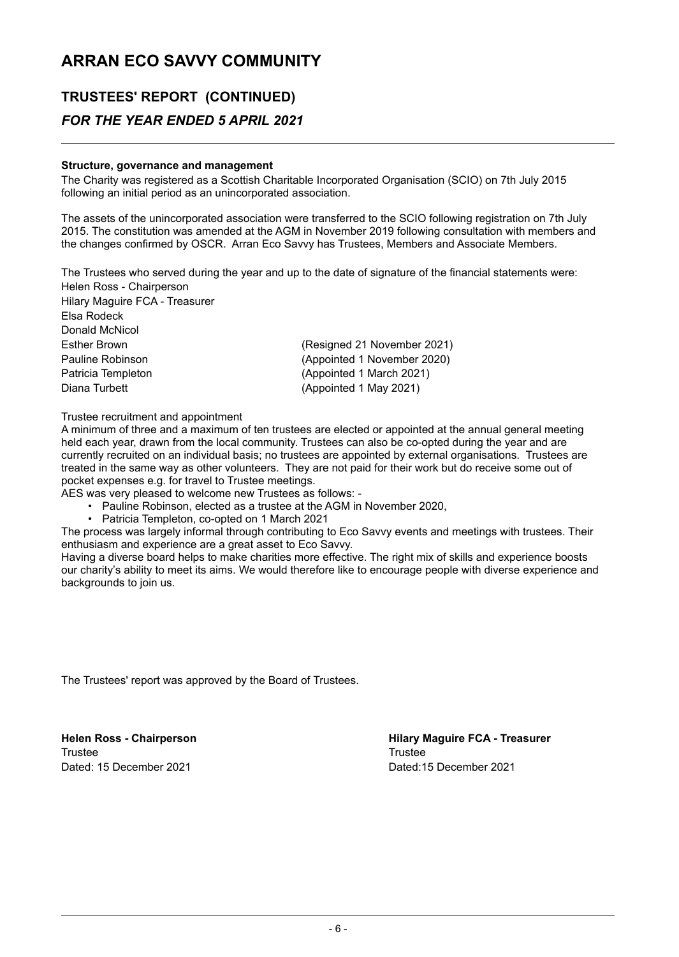## **TRUSTEES' REPORT (CONTINUED)**

### *FOR THE YEAR ENDED 5 APRIL 2021*

#### **Structure, governance and management**

The Charity was registered as a Scottish Charitable Incorporated Organisation (SCIO) on 7th July 2015 following an initial period as an unincorporated association.

The assets of the unincorporated association were transferred to the SCIO following registration on 7th July 2015. The constitution was amended at the AGM in November 2019 following consultation with members and the changes confirmed by OSCR. Arran Eco Savvy has Trustees, Members and Associate Members.

The Trustees who served during the year and up to the date of signature of the financial statements were: Helen Ross - Chairperson

Hilary Maguire FCA - Treasurer Elsa Rodeck Donald McNicol Esther Brown (Resigned 21 November 2021) Pauline Robinson (Appointed 1 November 2020) Patricia Templeton (Appointed 1 March 2021) Diana Turbett **Contract Contract Contract Contract Contract Contract Contract Contract Contract Contract Contract Contract Contract Contract Contract Contract Contract Contract Contract Contract Contract Contract Contract** 

Trustee recruitment and appointment

A minimum of three and a maximum of ten trustees are elected or appointed at the annual general meeting held each year, drawn from the local community. Trustees can also be co-opted during the year and are currently recruited on an individual basis; no trustees are appointed by external organisations. Trustees are treated in the same way as other volunteers. They are not paid for their work but do receive some out of pocket expenses e.g. for travel to Trustee meetings.

- AES was very pleased to welcome new Trustees as follows:
	- Pauline Robinson, elected as a trustee at the AGM in November 2020,
	- Patricia Templeton, co-opted on 1 March 2021

The process was largely informal through contributing to Eco Savvy events and meetings with trustees. Their enthusiasm and experience are a great asset to Eco Savvy.

Having a diverse board helps to make charities more effective. The right mix of skills and experience boosts our charity's ability to meet its aims. We would therefore like to encourage people with diverse experience and backgrounds to join us.

The Trustees' report was approved by the Board of Trustees.

Trustee Trustee Dated: 15 December 2021 Dated:15 December 2021

**Helen Ross - Chairperson Hilary Maguire FCA - Treasurer**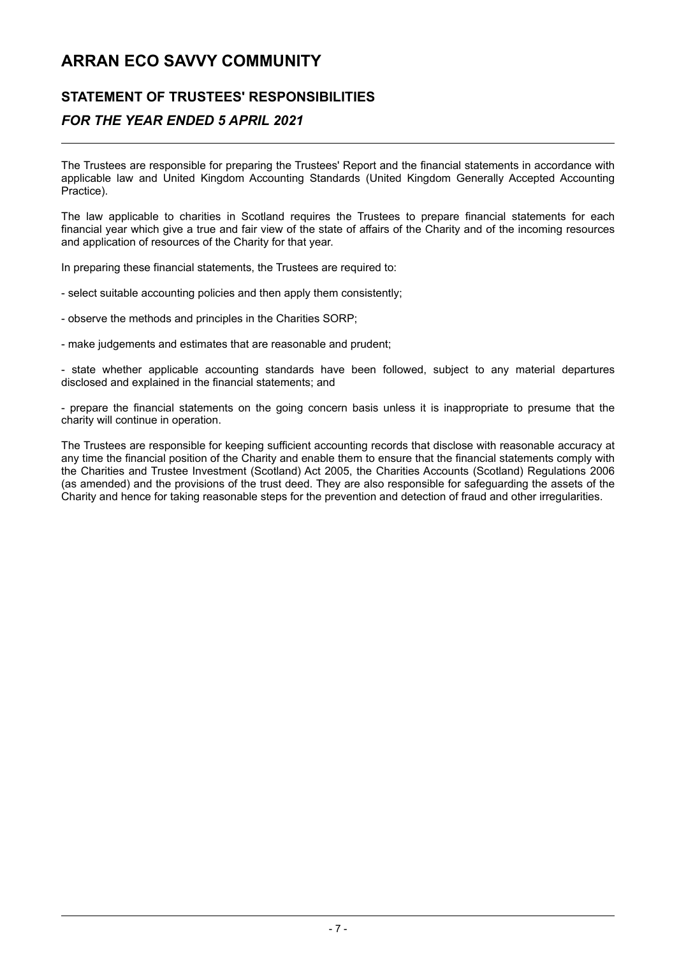### **STATEMENT OF TRUSTEES' RESPONSIBILITIES**

### *FOR THE YEAR ENDED 5 APRIL 2021*

The Trustees are responsible for preparing the Trustees' Report and the financial statements in accordance with applicable law and United Kingdom Accounting Standards (United Kingdom Generally Accepted Accounting Practice).

The law applicable to charities in Scotland requires the Trustees to prepare financial statements for each financial year which give a true and fair view of the state of affairs of the Charity and of the incoming resources and application of resources of the Charity for that year.

In preparing these financial statements, the Trustees are required to:

- select suitable accounting policies and then apply them consistently;

- observe the methods and principles in the Charities SORP;

- make judgements and estimates that are reasonable and prudent;

- state whether applicable accounting standards have been followed, subject to any material departures disclosed and explained in the financial statements; and

- prepare the financial statements on the going concern basis unless it is inappropriate to presume that the charity will continue in operation.

The Trustees are responsible for keeping sufficient accounting records that disclose with reasonable accuracy at any time the financial position of the Charity and enable them to ensure that the financial statements comply with the Charities and Trustee Investment (Scotland) Act 2005, the Charities Accounts (Scotland) Regulations 2006 (as amended) and the provisions of the trust deed. They are also responsible for safeguarding the assets of the Charity and hence for taking reasonable steps for the prevention and detection of fraud and other irregularities.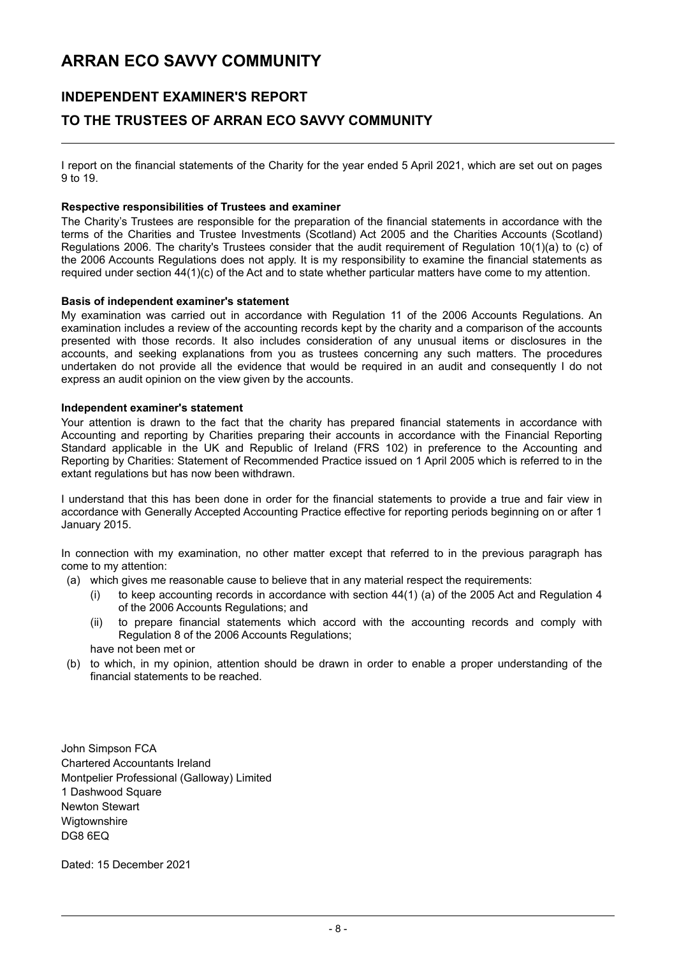## **INDEPENDENT EXAMINER'S REPORT TO THE TRUSTEES OF ARRAN ECO SAVVY COMMUNITY**

I report on the financial statements of the Charity for the year ended 5 April 2021, which are set out on pages 9 to 19.

#### **Respective responsibilities of Trustees and examiner**

The Charity's Trustees are responsible for the preparation of the financial statements in accordance with the terms of the Charities and Trustee Investments (Scotland) Act 2005 and the Charities Accounts (Scotland) Regulations 2006. The charity's Trustees consider that the audit requirement of Regulation 10(1)(a) to (c) of the 2006 Accounts Regulations does not apply. It is my responsibility to examine the financial statements as required under section 44(1)(c) of the Act and to state whether particular matters have come to my attention.

#### **Basis of independent examiner's statement**

My examination was carried out in accordance with Regulation 11 of the 2006 Accounts Regulations. An examination includes a review of the accounting records kept by the charity and a comparison of the accounts presented with those records. It also includes consideration of any unusual items or disclosures in the accounts, and seeking explanations from you as trustees concerning any such matters. The procedures undertaken do not provide all the evidence that would be required in an audit and consequently I do not express an audit opinion on the view given by the accounts.

#### **Independent examiner's statement**

Your attention is drawn to the fact that the charity has prepared financial statements in accordance with Accounting and reporting by Charities preparing their accounts in accordance with the Financial Reporting Standard applicable in the UK and Republic of Ireland (FRS 102) in preference to the Accounting and Reporting by Charities: Statement of Recommended Practice issued on 1 April 2005 which is referred to in the extant regulations but has now been withdrawn.

I understand that this has been done in order for the financial statements to provide a true and fair view in accordance with Generally Accepted Accounting Practice effective for reporting periods beginning on or after 1 January 2015.

In connection with my examination, no other matter except that referred to in the previous paragraph has come to my attention:

- (a) which gives me reasonable cause to believe that in any material respect the requirements:
	- (i) to keep accounting records in accordance with section  $44(1)$  (a) of the 2005 Act and Regulation 4 of the 2006 Accounts Regulations; and
	- (ii) to prepare financial statements which accord with the accounting records and comply with Regulation 8 of the 2006 Accounts Regulations;
	- have not been met or
- (b) to which, in my opinion, attention should be drawn in order to enable a proper understanding of the financial statements to be reached.

John Simpson FCA Chartered Accountants Ireland Montpelier Professional (Galloway) Limited 1 Dashwood Square Newton Stewart **Wigtownshire** DG8 6EQ

Dated: 15 December 2021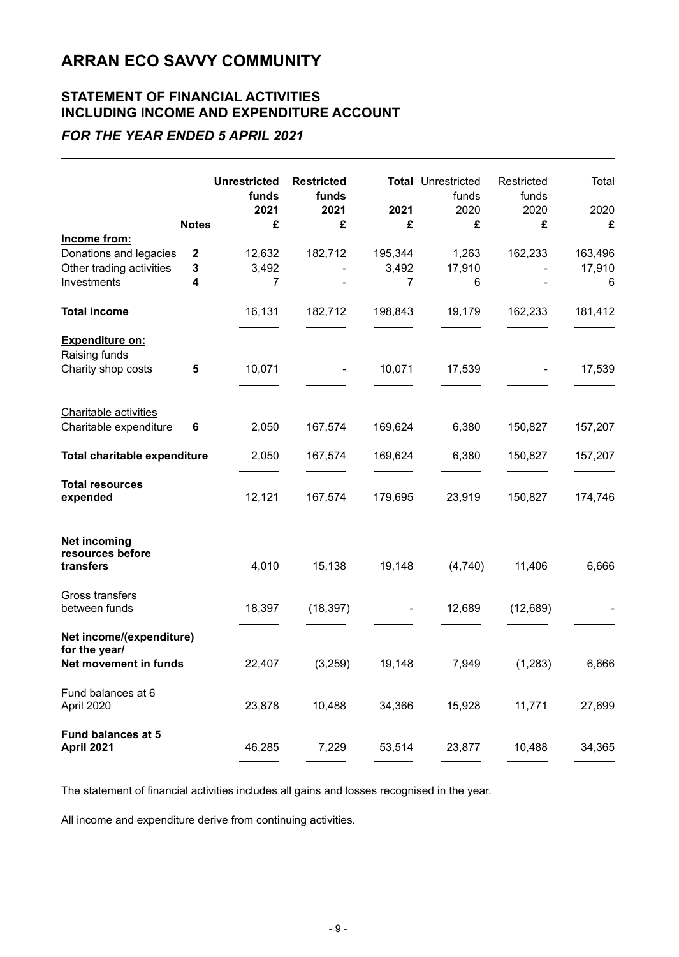### **STATEMENT OF FINANCIAL ACTIVITIES INCLUDING INCOME AND EXPENDITURE ACCOUNT**

### *FOR THE YEAR ENDED 5 APRIL 2021*

|                                           |              | <b>Unrestricted</b><br>funds<br>2021 | <b>Restricted</b><br>funds<br>2021 | 2021    | <b>Total Unrestricted</b><br>funds<br>2020 | Restricted<br>funds<br>2020 | Total<br>2020 |
|-------------------------------------------|--------------|--------------------------------------|------------------------------------|---------|--------------------------------------------|-----------------------------|---------------|
|                                           | <b>Notes</b> | £                                    | £                                  | £       | £                                          | £                           | £             |
| Income from:                              |              |                                      |                                    |         |                                            |                             |               |
| Donations and legacies                    | 2            | 12,632                               | 182,712                            | 195,344 | 1,263                                      | 162,233                     | 163,496       |
| Other trading activities                  | 3            | 3,492                                |                                    | 3,492   | 17,910                                     |                             | 17,910        |
| Investments                               | 4            | 7                                    |                                    | 7       | 6                                          |                             | 6             |
| <b>Total income</b>                       |              | 16,131                               | 182,712                            | 198,843 | 19,179                                     | 162,233                     | 181,412       |
| <b>Expenditure on:</b><br>Raising funds   |              |                                      |                                    |         |                                            |                             |               |
| Charity shop costs                        | 5            | 10,071                               |                                    | 10,071  | 17,539                                     |                             | 17,539        |
| <b>Charitable activities</b>              |              |                                      |                                    |         |                                            |                             |               |
| Charitable expenditure                    | 6            | 2,050                                | 167,574                            | 169,624 | 6,380                                      | 150,827                     | 157,207       |
| Total charitable expenditure              |              | 2,050                                | 167,574                            | 169,624 | 6,380                                      | 150,827                     | 157,207       |
| <b>Total resources</b><br>expended        |              | 12,121                               | 167,574                            | 179,695 | 23,919                                     | 150,827                     | 174,746       |
| <b>Net incoming</b><br>resources before   |              |                                      |                                    |         |                                            |                             |               |
| transfers                                 |              | 4,010                                | 15,138                             | 19,148  | (4,740)                                    | 11,406                      | 6,666         |
| Gross transfers<br>between funds          |              | 18,397                               | (18, 397)                          |         | 12,689                                     | (12,689)                    |               |
| Net income/(expenditure)<br>for the year/ |              |                                      |                                    |         |                                            |                             |               |
| Net movement in funds                     |              | 22,407                               | (3,259)                            | 19,148  | 7,949                                      | (1,283)                     | 6,666         |
| Fund balances at 6<br>April 2020          |              | 23,878                               | 10,488                             | 34,366  | 15,928                                     | 11,771                      | 27,699        |
| <b>Fund balances at 5</b><br>April 2021   |              | 46,285                               | 7,229                              | 53,514  | 23,877                                     | 10,488                      | 34,365        |

The statement of financial activities includes all gains and losses recognised in the year.

All income and expenditure derive from continuing activities.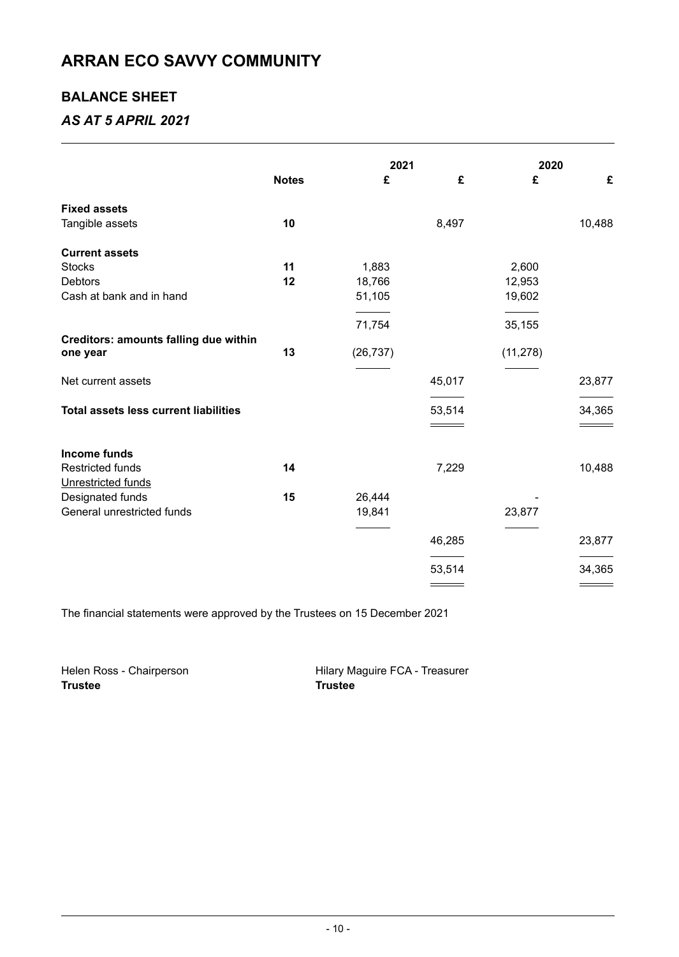### **BALANCE SHEET**

### *AS AT 5 APRIL 2021*

|                                              |              | 2021      |        | 2020      |        |
|----------------------------------------------|--------------|-----------|--------|-----------|--------|
|                                              | <b>Notes</b> | £         | £      | £         | £      |
| <b>Fixed assets</b>                          |              |           |        |           |        |
| Tangible assets                              | 10           |           | 8,497  |           | 10,488 |
| <b>Current assets</b>                        |              |           |        |           |        |
| <b>Stocks</b>                                | 11           | 1,883     |        | 2,600     |        |
| <b>Debtors</b>                               | 12           | 18,766    |        | 12,953    |        |
| Cash at bank and in hand                     |              | 51,105    |        | 19,602    |        |
|                                              |              | 71,754    |        | 35,155    |        |
| <b>Creditors: amounts falling due within</b> |              |           |        |           |        |
| one year                                     | 13           | (26, 737) |        | (11, 278) |        |
| Net current assets                           |              |           | 45,017 |           | 23,877 |
| <b>Total assets less current liabilities</b> |              |           | 53,514 |           | 34,365 |
|                                              |              |           |        |           |        |
| Income funds                                 |              |           |        |           |        |
| <b>Restricted funds</b>                      | 14           |           | 7,229  |           | 10,488 |
| Unrestricted funds                           |              |           |        |           |        |
| Designated funds                             | 15           | 26,444    |        |           |        |
| General unrestricted funds                   |              | 19,841    |        | 23,877    |        |
|                                              |              |           | 46,285 |           | 23,877 |
|                                              |              |           |        |           |        |
|                                              |              |           | 53,514 |           | 34,365 |
|                                              |              |           |        |           |        |

The financial statements were approved by the Trustees on 15 December 2021

Helen Ross - Chairperson **Hilary Maguire FCA - Treasurer**<br> **Trustee** Trustee **Trustee Trustee**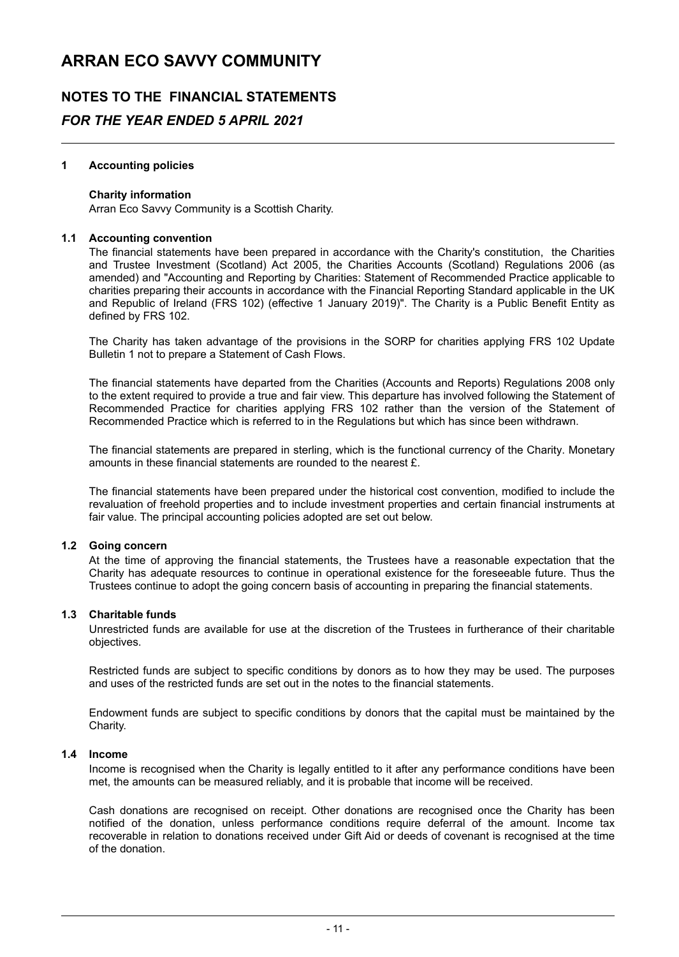## **NOTES TO THE FINANCIAL STATEMENTS** *FOR THE YEAR ENDED 5 APRIL 2021*

#### **1 Accounting policies**

#### **Charity information**

Arran Eco Savvy Community is a Scottish Charity.

#### **1.1 Accounting convention**

The financial statements have been prepared in accordance with the Charity's constitution, the Charities and Trustee Investment (Scotland) Act 2005, the Charities Accounts (Scotland) Regulations 2006 (as amended) and "Accounting and Reporting by Charities: Statement of Recommended Practice applicable to charities preparing their accounts in accordance with the Financial Reporting Standard applicable in the UK and Republic of Ireland (FRS 102) (effective 1 January 2019)". The Charity is a Public Benefit Entity as defined by FRS 102.

The Charity has taken advantage of the provisions in the SORP for charities applying FRS 102 Update Bulletin 1 not to prepare a Statement of Cash Flows.

The financial statements have departed from the Charities (Accounts and Reports) Regulations 2008 only to the extent required to provide a true and fair view. This departure has involved following the Statement of Recommended Practice for charities applying FRS 102 rather than the version of the Statement of Recommended Practice which is referred to in the Regulations but which has since been withdrawn.

The financial statements are prepared in sterling, which is the functional currency of the Charity. Monetary amounts in these financial statements are rounded to the nearest £.

The financial statements have been prepared under the historical cost convention, modified to include the revaluation of freehold properties and to include investment properties and certain financial instruments at fair value. The principal accounting policies adopted are set out below.

#### **1.2 Going concern**

At the time of approving the financial statements, the Trustees have a reasonable expectation that the Charity has adequate resources to continue in operational existence for the foreseeable future. Thus the Trustees continue to adopt the going concern basis of accounting in preparing the financial statements.

#### **1.3 Charitable funds**

Unrestricted funds are available for use at the discretion of the Trustees in furtherance of their charitable objectives.

Restricted funds are subject to specific conditions by donors as to how they may be used. The purposes and uses of the restricted funds are set out in the notes to the financial statements.

Endowment funds are subject to specific conditions by donors that the capital must be maintained by the Charity.

#### **1.4 Income**

Income is recognised when the Charity is legally entitled to it after any performance conditions have been met, the amounts can be measured reliably, and it is probable that income will be received.

Cash donations are recognised on receipt. Other donations are recognised once the Charity has been notified of the donation, unless performance conditions require deferral of the amount. Income tax recoverable in relation to donations received under Gift Aid or deeds of covenant is recognised at the time of the donation.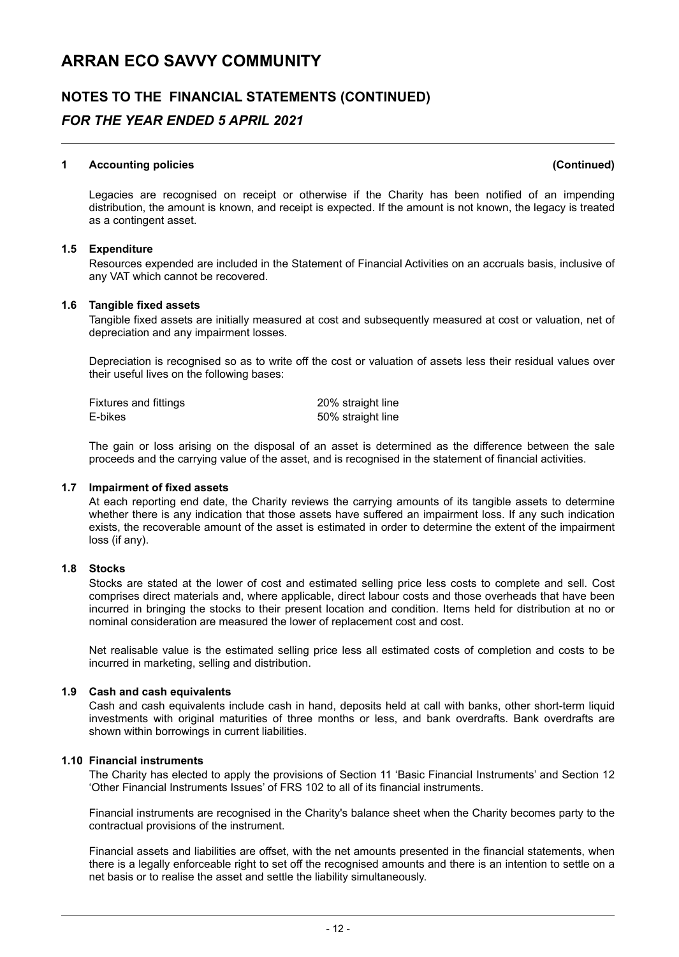## **NOTES TO THE FINANCIAL STATEMENTS (CONTINUED)** *FOR THE YEAR ENDED 5 APRIL 2021*

#### **1 Accounting policies (Continued)**

Legacies are recognised on receipt or otherwise if the Charity has been notified of an impending distribution, the amount is known, and receipt is expected. If the amount is not known, the legacy is treated as a contingent asset.

#### **1.5 Expenditure**

Resources expended are included in the Statement of Financial Activities on an accruals basis, inclusive of any VAT which cannot be recovered.

#### **1.6 Tangible fixed assets**

Tangible fixed assets are initially measured at cost and subsequently measured at cost or valuation, net of depreciation and any impairment losses.

Depreciation is recognised so as to write off the cost or valuation of assets less their residual values over their useful lives on the following bases:

| Fixtures and fittings | 20% straight line |
|-----------------------|-------------------|
| E-bikes               | 50% straight line |

The gain or loss arising on the disposal of an asset is determined as the difference between the sale proceeds and the carrying value of the asset, and is recognised in the statement of financial activities.

#### **1.7 Impairment of fixed assets**

At each reporting end date, the Charity reviews the carrying amounts of its tangible assets to determine whether there is any indication that those assets have suffered an impairment loss. If any such indication exists, the recoverable amount of the asset is estimated in order to determine the extent of the impairment loss (if any).

#### **1.8 Stocks**

Stocks are stated at the lower of cost and estimated selling price less costs to complete and sell. Cost comprises direct materials and, where applicable, direct labour costs and those overheads that have been incurred in bringing the stocks to their present location and condition. Items held for distribution at no or nominal consideration are measured the lower of replacement cost and cost.

Net realisable value is the estimated selling price less all estimated costs of completion and costs to be incurred in marketing, selling and distribution.

#### **1.9 Cash and cash equivalents**

Cash and cash equivalents include cash in hand, deposits held at call with banks, other short-term liquid investments with original maturities of three months or less, and bank overdrafts. Bank overdrafts are shown within borrowings in current liabilities.

#### **1.10 Financial instruments**

The Charity has elected to apply the provisions of Section 11 'Basic Financial Instruments' and Section 12 'Other Financial Instruments Issues' of FRS 102 to all of its financial instruments.

Financial instruments are recognised in the Charity's balance sheet when the Charity becomes party to the contractual provisions of the instrument.

Financial assets and liabilities are offset, with the net amounts presented in the financial statements, when there is a legally enforceable right to set off the recognised amounts and there is an intention to settle on a net basis or to realise the asset and settle the liability simultaneously.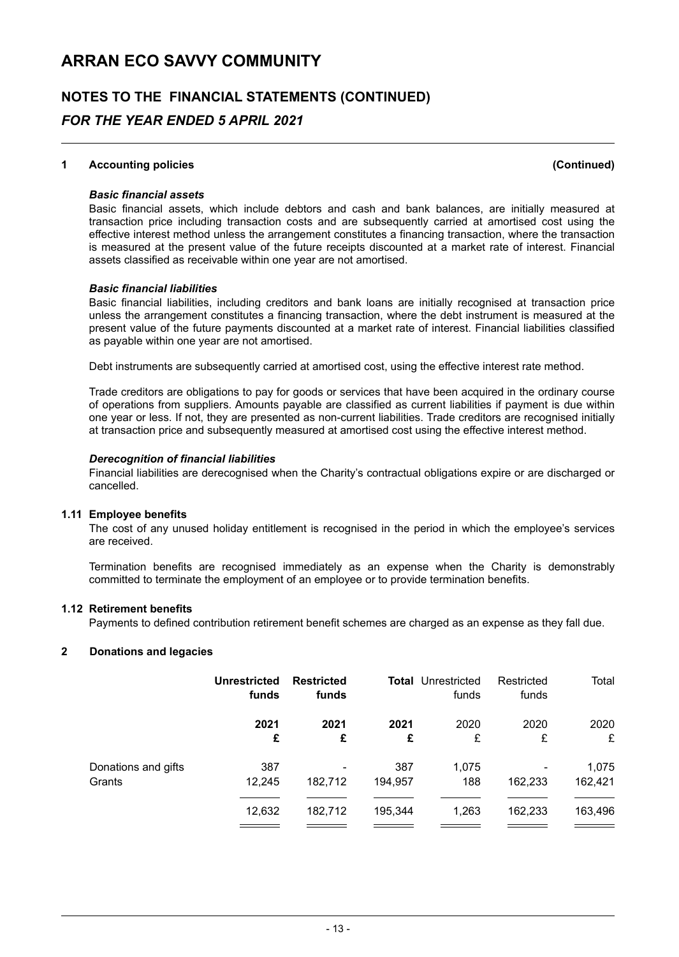## **NOTES TO THE FINANCIAL STATEMENTS (CONTINUED)** *FOR THE YEAR ENDED 5 APRIL 2021*

#### **1 Accounting policies (Continued)**

#### *Basic financial assets*

Basic financial assets, which include debtors and cash and bank balances, are initially measured at transaction price including transaction costs and are subsequently carried at amortised cost using the effective interest method unless the arrangement constitutes a financing transaction, where the transaction is measured at the present value of the future receipts discounted at a market rate of interest. Financial assets classified as receivable within one year are not amortised.

#### *Basic financial liabilities*

Basic financial liabilities, including creditors and bank loans are initially recognised at transaction price unless the arrangement constitutes a financing transaction, where the debt instrument is measured at the present value of the future payments discounted at a market rate of interest. Financial liabilities classified as payable within one year are not amortised.

Debt instruments are subsequently carried at amortised cost, using the effective interest rate method.

Trade creditors are obligations to pay for goods or services that have been acquired in the ordinary course of operations from suppliers. Amounts payable are classified as current liabilities if payment is due within one year or less. If not, they are presented as non-current liabilities. Trade creditors are recognised initially at transaction price and subsequently measured at amortised cost using the effective interest method.

#### *Derecognition of financial liabilities*

Financial liabilities are derecognised when the Charity's contractual obligations expire or are discharged or cancelled.

#### **1.11 Employee benefits**

The cost of any unused holiday entitlement is recognised in the period in which the employee's services are received.

Termination benefits are recognised immediately as an expense when the Charity is demonstrably committed to terminate the employment of an employee or to provide termination benefits.

#### **1.12 Retirement benefits**

Payments to defined contribution retirement benefit schemes are charged as an expense as they fall due.

#### **2 Donations and legacies**

|                     | <b>Unrestricted</b><br>funds | <b>Restricted</b><br>funds |         | <b>Total</b> Unrestricted<br>funds | Restricted<br>funds | Total   |
|---------------------|------------------------------|----------------------------|---------|------------------------------------|---------------------|---------|
|                     | 2021                         | 2021                       | 2021    | 2020                               | 2020                | 2020    |
|                     | £                            | £                          | £       | £                                  | £                   | £       |
| Donations and gifts | 387                          | ۰                          | 387     | 1,075                              | 162,233             | 1,075   |
| Grants              | 12.245                       | 182,712                    | 194.957 | 188                                |                     | 162,421 |
|                     | 12,632                       | 182,712                    | 195,344 | 1,263                              | 162,233             | 163,496 |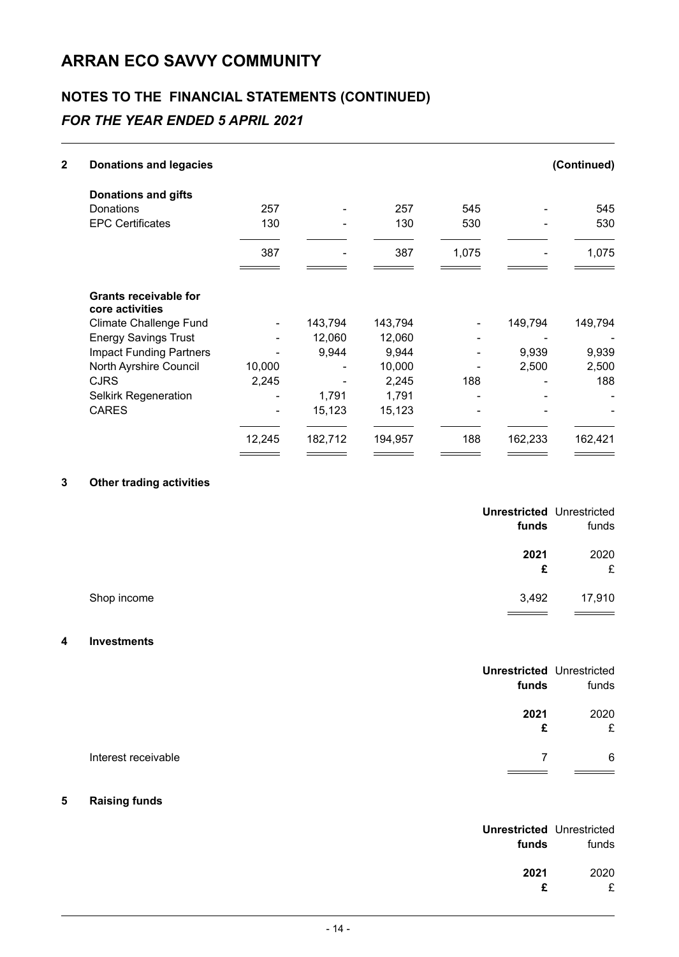## **NOTES TO THE FINANCIAL STATEMENTS (CONTINUED)**

## *FOR THE YEAR ENDED 5 APRIL 2021*

| 2 | <b>Donations and legacies</b>                   |        |         |         |       |         | (Continued) |
|---|-------------------------------------------------|--------|---------|---------|-------|---------|-------------|
|   | <b>Donations and gifts</b>                      |        |         |         |       |         |             |
|   | Donations                                       | 257    |         | 257     | 545   |         | 545         |
|   | <b>EPC Certificates</b>                         | 130    |         | 130     | 530   |         | 530         |
|   |                                                 | 387    |         | 387     | 1,075 |         | 1,075       |
|   | <b>Grants receivable for</b><br>core activities |        |         |         |       |         |             |
|   | <b>Climate Challenge Fund</b>                   |        | 143,794 | 143,794 |       | 149,794 | 149,794     |
|   | <b>Energy Savings Trust</b>                     |        | 12,060  | 12,060  |       |         |             |
|   | <b>Impact Funding Partners</b>                  |        | 9,944   | 9.944   |       | 9,939   | 9,939       |
|   | North Ayrshire Council                          | 10,000 |         | 10,000  |       | 2,500   | 2,500       |
|   | <b>CJRS</b>                                     | 2,245  |         | 2,245   | 188   |         | 188         |
|   | <b>Selkirk Regeneration</b>                     |        | 1,791   | 1,791   |       |         |             |
|   | <b>CARES</b>                                    |        | 15,123  | 15,123  |       |         |             |
|   |                                                 | 12,245 | 182,712 | 194,957 | 188   | 162,233 | 162,421     |
|   |                                                 |        |         |         |       |         |             |

#### **3 Other trading activities**

| funds                | <b>Unrestricted Unrestricted</b><br>funds |
|----------------------|-------------------------------------------|
| 2021<br>£            | 2020<br>£                                 |
| Shop income<br>3,492 | 17,910                                    |

#### **4 Investments**

|                     | <b>Unrestricted Unrestricted</b><br>funds | funds     |
|---------------------|-------------------------------------------|-----------|
|                     | 2021<br>£                                 | 2020<br>£ |
| Interest receivable |                                           | 6         |

#### **5 Raising funds**

| funds | <b>Unrestricted Unrestricted</b><br>funds |
|-------|-------------------------------------------|
| 2021  | 2020                                      |
| £     | £                                         |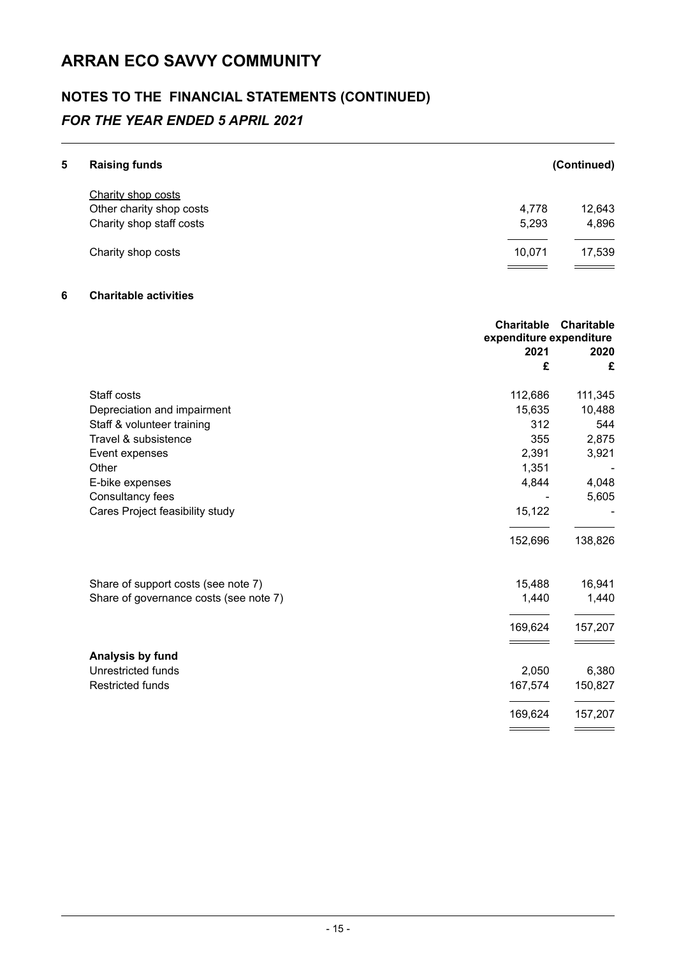## **NOTES TO THE FINANCIAL STATEMENTS (CONTINUED)**

## *FOR THE YEAR ENDED 5 APRIL 2021*

| 5 | <b>Raising funds</b>     |        | (Continued) |
|---|--------------------------|--------|-------------|
|   | Charity shop costs       |        |             |
|   | Other charity shop costs | 4,778  | 12,643      |
|   | Charity shop staff costs | 5,293  | 4,896       |
|   | Charity shop costs       | 10,071 | 17,539      |
|   |                          |        |             |

### **6 Charitable activities**

|                                        | expenditure expenditure | <b>Charitable Charitable</b> |
|----------------------------------------|-------------------------|------------------------------|
|                                        | 2021                    | 2020                         |
|                                        | £                       | £                            |
| Staff costs                            | 112,686                 | 111,345                      |
| Depreciation and impairment            | 15,635                  | 10,488                       |
| Staff & volunteer training             | 312                     | 544                          |
| Travel & subsistence                   | 355                     | 2,875                        |
| Event expenses                         | 2,391                   | 3,921                        |
| Other                                  | 1,351                   |                              |
| E-bike expenses                        | 4,844                   | 4,048                        |
| Consultancy fees                       |                         | 5,605                        |
| Cares Project feasibility study        | 15,122                  |                              |
|                                        | 152,696                 | 138,826                      |
| Share of support costs (see note 7)    | 15,488                  | 16,941                       |
| Share of governance costs (see note 7) | 1,440                   | 1,440                        |
|                                        | 169,624                 | 157,207                      |
| Analysis by fund                       |                         |                              |
| Unrestricted funds                     | 2,050                   | 6,380                        |
| <b>Restricted funds</b>                | 167,574                 | 150,827                      |
|                                        | 169,624                 | 157,207                      |
|                                        |                         |                              |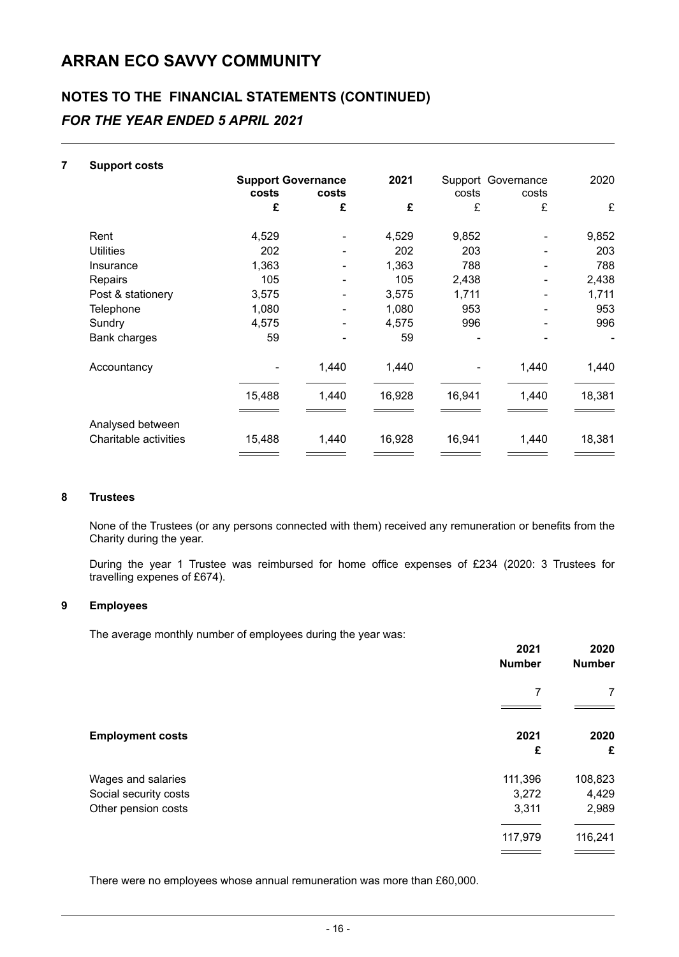## **NOTES TO THE FINANCIAL STATEMENTS (CONTINUED)** *FOR THE YEAR ENDED 5 APRIL 2021*

| 7 | <b>Support costs</b>  |                           |       |        |        |                    |        |
|---|-----------------------|---------------------------|-------|--------|--------|--------------------|--------|
|   |                       | <b>Support Governance</b> |       | 2021   |        | Support Governance | 2020   |
|   |                       | costs                     | costs |        | costs  | costs              |        |
|   |                       | £                         | £     | £      | £      | £                  | £      |
|   | Rent                  | 4,529                     |       | 4,529  | 9,852  |                    | 9,852  |
|   | <b>Utilities</b>      | 202                       |       | 202    | 203    |                    | 203    |
|   | Insurance             | 1,363                     |       | 1,363  | 788    |                    | 788    |
|   | Repairs               | 105                       |       | 105    | 2,438  |                    | 2,438  |
|   | Post & stationery     | 3,575                     |       | 3,575  | 1,711  |                    | 1,711  |
|   | Telephone             | 1,080                     |       | 1,080  | 953    |                    | 953    |
|   | Sundry                | 4,575                     |       | 4,575  | 996    |                    | 996    |
|   | <b>Bank charges</b>   | 59                        |       | 59     |        |                    |        |
|   | Accountancy           |                           | 1,440 | 1,440  |        | 1,440              | 1,440  |
|   |                       | 15,488                    | 1,440 | 16,928 | 16,941 | 1,440              | 18,381 |
|   | Analysed between      |                           |       |        |        |                    |        |
|   | Charitable activities | 15,488                    | 1,440 | 16,928 | 16,941 | 1,440              | 18,381 |
|   |                       |                           |       |        |        |                    |        |

#### **8 Trustees**

None of the Trustees (or any persons connected with them) received any remuneration or benefits from the Charity during the year.

During the year 1 Trustee was reimbursed for home office expenses of £234 (2020: 3 Trustees for travelling expenes of £674).

#### **9 Employees**

The average monthly number of employees during the year was:

|                         | 2021<br><b>Number</b> | 2020<br><b>Number</b> |  |
|-------------------------|-----------------------|-----------------------|--|
|                         | 7                     | 7                     |  |
| <b>Employment costs</b> | 2021<br>£             | 2020<br>£             |  |
| Wages and salaries      | 111,396               | 108,823               |  |
| Social security costs   | 3,272                 | 4,429                 |  |
| Other pension costs     | 3,311                 | 2,989                 |  |
|                         | 117,979               | 116,241               |  |
|                         |                       |                       |  |

There were no employees whose annual remuneration was more than £60,000.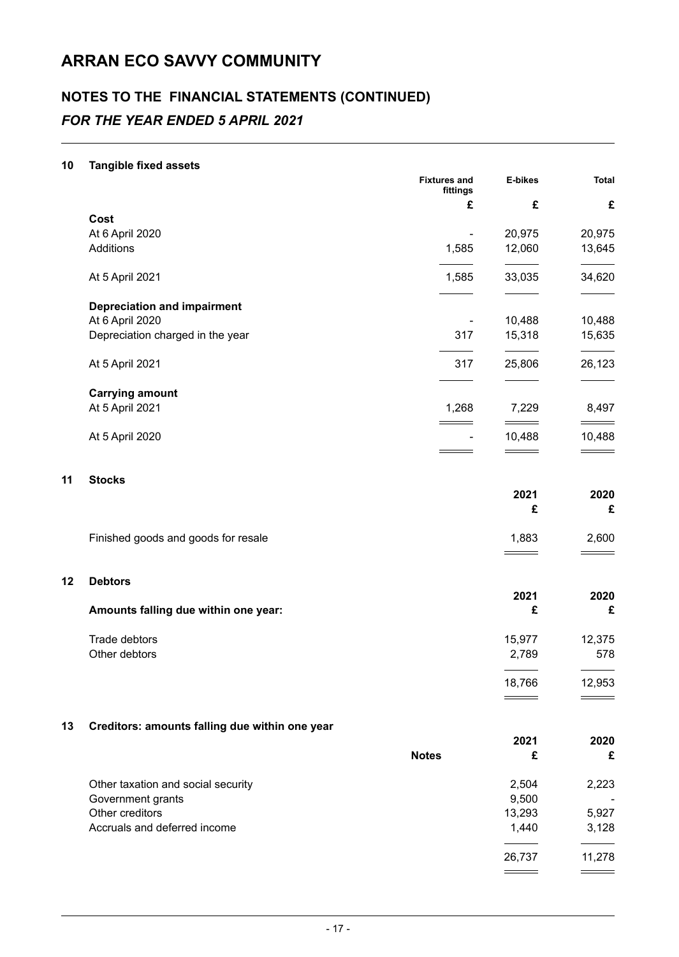## **NOTES TO THE FINANCIAL STATEMENTS (CONTINUED)** *FOR THE YEAR ENDED 5 APRIL 2021*

#### **10 Tangible fixed assets**

|    |                                                | <b>Fixtures and</b><br>fittings | E-bikes<br>£<br>20,975 | <b>Total</b> |
|----|------------------------------------------------|---------------------------------|------------------------|--------------|
|    |                                                | £                               |                        | £            |
|    | Cost                                           |                                 |                        |              |
|    | At 6 April 2020                                | $\overline{\phantom{a}}$        |                        | 20,975       |
|    | Additions                                      | 1,585                           | 12,060                 | 13,645       |
|    | At 5 April 2021                                | 1,585                           | 33,035                 | 34,620       |
|    | <b>Depreciation and impairment</b>             |                                 |                        |              |
|    | At 6 April 2020                                | $\overline{\phantom{a}}$        | 10,488                 | 10,488       |
|    | Depreciation charged in the year               | 317                             | 15,318                 | 15,635       |
|    |                                                |                                 |                        |              |
|    | At 5 April 2021                                | 317                             | 25,806                 | 26,123       |
|    | <b>Carrying amount</b>                         |                                 |                        |              |
|    | At 5 April 2021                                | 1,268                           | 7,229                  | 8,497        |
|    | At 5 April 2020                                | ۰                               | 10,488                 | 10,488       |
|    |                                                |                                 |                        |              |
| 11 | <b>Stocks</b>                                  |                                 |                        |              |
|    |                                                |                                 | 2021                   | 2020         |
|    |                                                |                                 | £                      | £            |
|    | Finished goods and goods for resale            |                                 | 1,883                  | 2,600        |
|    |                                                |                                 |                        |              |
| 12 | <b>Debtors</b>                                 |                                 |                        |              |
|    |                                                |                                 | 2021                   | 2020         |
|    | Amounts falling due within one year:           |                                 | £                      | £            |
|    | Trade debtors                                  |                                 | 15,977                 | 12,375       |
|    | Other debtors                                  |                                 | 2,789                  | 578          |
|    |                                                |                                 | 18,766                 | 12,953       |
|    |                                                |                                 |                        |              |
| 13 | Creditors: amounts falling due within one year |                                 |                        |              |
|    |                                                |                                 | 2021                   | 2020         |
|    |                                                | <b>Notes</b>                    | £                      | £            |
|    | Other taxation and social security             |                                 | 2,504                  | 2,223        |
|    | Government grants                              |                                 | 9,500                  |              |
|    | Other creditors                                |                                 | 13,293                 | 5,927        |
|    | Accruals and deferred income                   |                                 | 1,440                  | 3,128        |

26,737 11,278

 $=$ 

 $\overline{\phantom{0}}$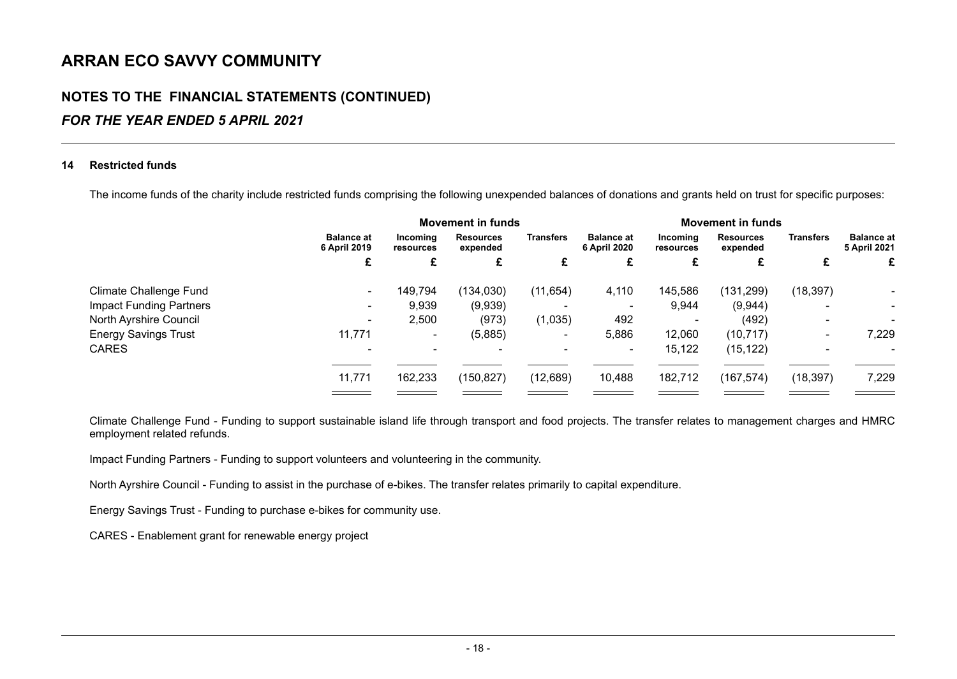### **NOTES TO THE FINANCIAL STATEMENTS (CONTINUED)**

### *FOR THE YEAR ENDED 5 APRIL 2021*

#### **14 Restricted funds**

The income funds of the charity include restricted funds comprising the following unexpended balances of donations and grants held on trust for specific purposes:

|                                |                                   | <b>Movement in funds</b> |                              |                       | <b>Movement in funds</b>          |                          |                              |                          |                                   |
|--------------------------------|-----------------------------------|--------------------------|------------------------------|-----------------------|-----------------------------------|--------------------------|------------------------------|--------------------------|-----------------------------------|
|                                | <b>Balance at</b><br>6 April 2019 | Incoming<br>resources    | <b>Resources</b><br>expended | <b>Transfers</b><br>£ | <b>Balance at</b><br>6 April 2020 | Incomina<br>resources    | <b>Resources</b><br>expended | <b>Transfers</b>         | <b>Balance at</b><br>5 April 2021 |
|                                |                                   |                          |                              |                       |                                   |                          |                              |                          |                                   |
| <b>Climate Challenge Fund</b>  | $\blacksquare$                    | 149,794                  | (134, 030)                   | (11, 654)             | 4,110                             | 145,586                  | (131, 299)                   | (18, 397)                |                                   |
| <b>Impact Funding Partners</b> | $\overline{\phantom{a}}$          | 9,939                    | (9,939)                      |                       | ۰                                 | 9,944                    | (9,944)                      |                          | ٠                                 |
| North Ayrshire Council         | ۰                                 | 2,500                    | (973)                        | (1,035)               | 492                               | $\overline{\phantom{0}}$ | (492)                        | $\overline{\phantom{0}}$ |                                   |
| <b>Energy Savings Trust</b>    | 11,771                            | ۰.                       | (5,885)                      |                       | 5,886                             | 12,060                   | (10, 717)                    | ۰                        | 7,229                             |
| <b>CARES</b>                   |                                   |                          |                              |                       | $\sim$                            | 15,122                   | (15, 122)                    |                          |                                   |
|                                | 11,771                            | 162,233                  | (150, 827)                   | (12, 689)             | 10,488                            | 182,712                  | (167, 574)                   | (18, 397)                | 7,229                             |
|                                |                                   |                          |                              |                       |                                   |                          |                              |                          |                                   |

Climate Challenge Fund - Funding to support sustainable island life through transport and food projects. The transfer relates to management charges and HMRC employment related refunds.

Impact Funding Partners - Funding to support volunteers and volunteering in the community.

North Ayrshire Council - Funding to assist in the purchase of e-bikes. The transfer relates primarily to capital expenditure.

Energy Savings Trust - Funding to purchase e-bikes for community use.

CARES - Enablement grant for renewable energy project